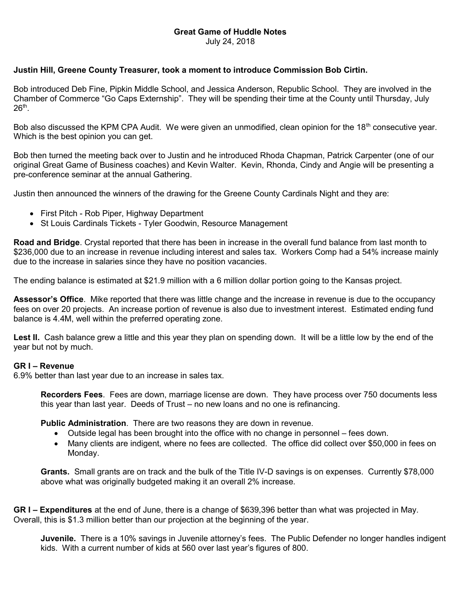## Great Game of Huddle Notes

July 24, 2018

## Justin Hill, Greene County Treasurer, took a moment to introduce Commission Bob Cirtin.

Bob introduced Deb Fine, Pipkin Middle School, and Jessica Anderson, Republic School. They are involved in the Chamber of Commerce "Go Caps Externship". They will be spending their time at the County until Thursday, July  $26^{\sf th}$ .

Bob also discussed the KPM CPA Audit. We were given an unmodified, clean opinion for the 18<sup>th</sup> consecutive year. Which is the best opinion you can get.

Bob then turned the meeting back over to Justin and he introduced Rhoda Chapman, Patrick Carpenter (one of our original Great Game of Business coaches) and Kevin Walter. Kevin, Rhonda, Cindy and Angie will be presenting a pre-conference seminar at the annual Gathering.

Justin then announced the winners of the drawing for the Greene County Cardinals Night and they are:

- First Pitch Rob Piper, Highway Department
- St Louis Cardinals Tickets Tyler Goodwin, Resource Management

Road and Bridge. Crystal reported that there has been in increase in the overall fund balance from last month to \$236,000 due to an increase in revenue including interest and sales tax. Workers Comp had a 54% increase mainly due to the increase in salaries since they have no position vacancies.

The ending balance is estimated at \$21.9 million with a 6 million dollar portion going to the Kansas project.

Assessor's Office. Mike reported that there was little change and the increase in revenue is due to the occupancy fees on over 20 projects. An increase portion of revenue is also due to investment interest. Estimated ending fund balance is 4.4M, well within the preferred operating zone.

Lest II. Cash balance grew a little and this year they plan on spending down. It will be a little low by the end of the year but not by much.

## GR I – Revenue

6.9% better than last year due to an increase in sales tax.

Recorders Fees. Fees are down, marriage license are down. They have process over 750 documents less this year than last year. Deeds of Trust – no new loans and no one is refinancing.

**Public Administration.** There are two reasons they are down in revenue.

- Outside legal has been brought into the office with no change in personnel fees down.
- Many clients are indigent, where no fees are collected. The office did collect over \$50,000 in fees on Monday.

Grants. Small grants are on track and the bulk of the Title IV-D savings is on expenses. Currently \$78,000 above what was originally budgeted making it an overall 2% increase.

GR I – Expenditures at the end of June, there is a change of \$639,396 better than what was projected in May. Overall, this is \$1.3 million better than our projection at the beginning of the year.

Juvenile. There is a 10% savings in Juvenile attorney's fees. The Public Defender no longer handles indigent kids. With a current number of kids at 560 over last year's figures of 800.